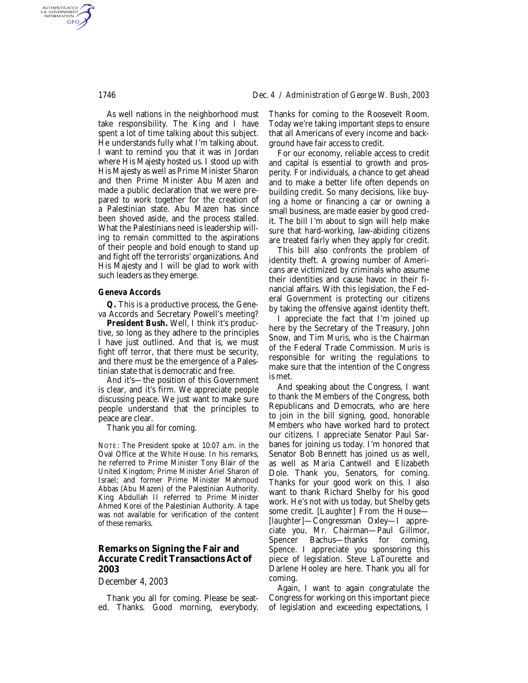As well nations in the neighborhood must take responsibility. The King and I have spent a lot of time talking about this subject. He understands fully what I'm talking about. I want to remind you that it was in Jordan where His Majesty hosted us. I stood up with His Majesty as well as Prime Minister Sharon and then Prime Minister Abu Mazen and made a public declaration that we were prepared to work together for the creation of a Palestinian state. Abu Mazen has since been shoved aside, and the process stalled. What the Palestinians need is leadership willing to remain committed to the aspirations of their people and bold enough to stand up and fight off the terrorists' organizations. And His Majesty and I will be glad to work with such leaders as they emerge.

## *Geneva Accords*

*Q.* This is a productive process, the Geneva Accords and Secretary Powell's meeting?

*President Bush.* Well, I think it's productive, so long as they adhere to the principles I have just outlined. And that is, we must fight off terror, that there must be security, and there must be the emergence of a Palestinian state that is democratic and free.

And it's—the position of this Government is clear, and it's firm. We appreciate people discussing peace. We just want to make sure people understand that the principles to peace are clear.

Thank you all for coming.

NOTE: The President spoke at 10:07 a.m. in the Oval Office at the White House. In his remarks, he referred to Prime Minister Tony Blair of the United Kingdom; Prime Minister Ariel Sharon of Israel; and former Prime Minister Mahmoud Abbas (Abu Mazen) of the Palestinian Authority. King Abdullah II referred to Prime Minister Ahmed Korei of the Palestinian Authority. A tape was not available for verification of the content of these remarks.

## **Remarks on Signing the Fair and Accurate Credit Transactions Act of 2003**

## *December 4, 2003*

Thank you all for coming. Please be seated. Thanks. Good morning, everybody. Thanks for coming to the Roosevelt Room. Today we're taking important steps to ensure that all Americans of every income and background have fair access to credit.

For our economy, reliable access to credit and capital is essential to growth and prosperity. For individuals, a chance to get ahead and to make a better life often depends on building credit. So many decisions, like buying a home or financing a car or owning a small business, are made easier by good credit. The bill I'm about to sign will help make sure that hard-working, law-abiding citizens are treated fairly when they apply for credit.

This bill also confronts the problem of identity theft. A growing number of Americans are victimized by criminals who assume their identities and cause havoc in their financial affairs. With this legislation, the Federal Government is protecting our citizens by taking the offensive against identity theft.

I appreciate the fact that I'm joined up here by the Secretary of the Treasury, John Snow, and Tim Muris, who is the Chairman of the Federal Trade Commission. Muris is responsible for writing the regulations to make sure that the intention of the Congress is met.

And speaking about the Congress, I want to thank the Members of the Congress, both Republicans and Democrats, who are here to join in the bill signing, good, honorable Members who have worked hard to protect our citizens. I appreciate Senator Paul Sarbanes for joining us today. I'm honored that Senator Bob Bennett has joined us as well, as well as Maria Cantwell and Elizabeth Dole. Thank you, Senators, for coming. Thanks for your good work on this. I also want to thank Richard Shelby for his good work. He's not with us today, but Shelby gets some credit. [*Laughter*] From the House— [*laughter*]—Congressman Oxley—I appreciate you, Mr. Chairman—Paul Gillmor, Spencer Bachus—thanks for coming, Spence. I appreciate you sponsoring this piece of legislation. Steve LaTourette and Darlene Hooley are here. Thank you all for coming.

Again, I want to again congratulate the Congress for working on this important piece of legislation and exceeding expectations, I

AUTHENTICATED<br>U.S. GOVERNMENT<br>INFORMATION **GPO**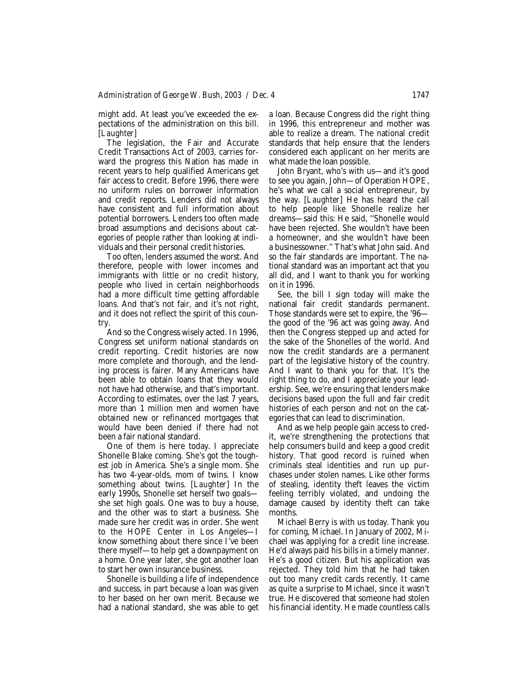might add. At least you've exceeded the expectations of the administration on this bill. [*Laughter*]

The legislation, the Fair and Accurate Credit Transactions Act of 2003, carries forward the progress this Nation has made in recent years to help qualified Americans get fair access to credit. Before 1996, there were no uniform rules on borrower information and credit reports. Lenders did not always have consistent and full information about potential borrowers. Lenders too often made broad assumptions and decisions about categories of people rather than looking at individuals and their personal credit histories.

Too often, lenders assumed the worst. And therefore, people with lower incomes and immigrants with little or no credit history, people who lived in certain neighborhoods had a more difficult time getting affordable loans. And that's not fair, and it's not right, and it does not reflect the spirit of this country.

And so the Congress wisely acted. In 1996, Congress set uniform national standards on credit reporting. Credit histories are now more complete and thorough, and the lending process is fairer. Many Americans have been able to obtain loans that they would not have had otherwise, and that's important. According to estimates, over the last 7 years, more than 1 million men and women have obtained new or refinanced mortgages that would have been denied if there had not been a fair national standard.

One of them is here today. I appreciate Shonelle Blake coming. She's got the toughest job in America. She's a single mom. She has two 4-year-olds, mom of twins. I know something about twins. [*Laughter*] In the early 1990s, Shonelle set herself two goals she set high goals. One was to buy a house, and the other was to start a business. She made sure her credit was in order. She went to the HOPE Center in Los Angeles—I know something about there since I've been there myself—to help get a downpayment on a home. One year later, she got another loan to start her own insurance business.

Shonelle is building a life of independence and success, in part because a loan was given to her based on her own merit. Because we had a national standard, she was able to get a loan. Because Congress did the right thing in 1996, this entrepreneur and mother was able to realize a dream. The national credit standards that help ensure that the lenders considered each applicant on her merits are what made the loan possible.

John Bryant, who's with us—and it's good to see you again, John—of Operation HOPE, he's what we call a social entrepreneur, by the way. [*Laughter*] He has heard the call to help people like Shonelle realize her dreams—said this: He said, ''Shonelle would have been rejected. She wouldn't have been a homeowner, and she wouldn't have been a businessowner.'' That's what John said. And so the fair standards are important. The national standard was an important act that you all did, and I want to thank you for working on it in 1996.

See, the bill I sign today will make the national fair credit standards permanent. Those standards were set to expire, the '96 the good of the '96 act was going away. And then the Congress stepped up and acted for the sake of the Shonelles of the world. And now the credit standards are a permanent part of the legislative history of the country. And I want to thank you for that. It's the right thing to do, and I appreciate your leadership. See, we're ensuring that lenders make decisions based upon the full and fair credit histories of each person and not on the categories that can lead to discrimination.

And as we help people gain access to credit, we're strengthening the protections that help consumers build and keep a good credit history. That good record is ruined when criminals steal identities and run up purchases under stolen names. Like other forms of stealing, identity theft leaves the victim feeling terribly violated, and undoing the damage caused by identity theft can take months.

Michael Berry is with us today. Thank you for coming, Michael. In January of 2002, Michael was applying for a credit line increase. He'd always paid his bills in a timely manner. He's a good citizen. But his application was rejected. They told him that he had taken out too many credit cards recently. It came as quite a surprise to Michael, since it wasn't true. He discovered that someone had stolen his financial identity. He made countless calls